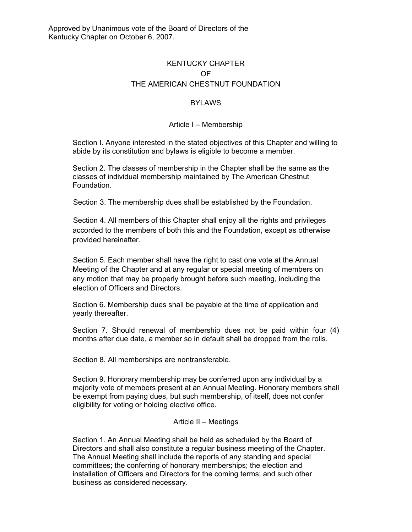# KENTUCKY CHAPTER OF THE AMERICAN CHESTNUT FOUNDATION

## BYLAWS

### Article I – Membership

Section I. Anyone interested in the stated objectives of this Chapter and willing to abide by its constitution and bylaws is eligible to become a member.

Section 2. The classes of membership in the Chapter shall be the same as the classes of individual membership maintained by The American Chestnut Foundation.

Section 3. The membership dues shall be established by the Foundation.

Section 4. All members of this Chapter shall enjoy all the rights and privileges accorded to the members of both this and the Foundation, except as otherwise provided hereinafter.

Section 5. Each member shall have the right to cast one vote at the Annual Meeting of the Chapter and at any regular or special meeting of members on any motion that may be properly brought before such meeting, including the election of Officers and Directors.

Section 6. Membership dues shall be payable at the time of application and yearly thereafter.

Section 7. Should renewal of membership dues not be paid within four (4) months after due date, a member so in default shall be dropped from the rolls.

Section 8. All memberships are nontransferable.

Section 9. Honorary membership may be conferred upon any individual by a majority vote of members present at an Annual Meeting. Honorary members shall be exempt from paying dues, but such membership, of itself, does not confer eligibility for voting or holding elective office.

#### Article II – Meetings

Section 1. An Annual Meeting shall be held as scheduled by the Board of Directors and shall also constitute a regular business meeting of the Chapter. The Annual Meeting shall include the reports of any standing and special committees; the conferring of honorary memberships; the election and installation of Officers and Directors for the coming terms; and such other business as considered necessary.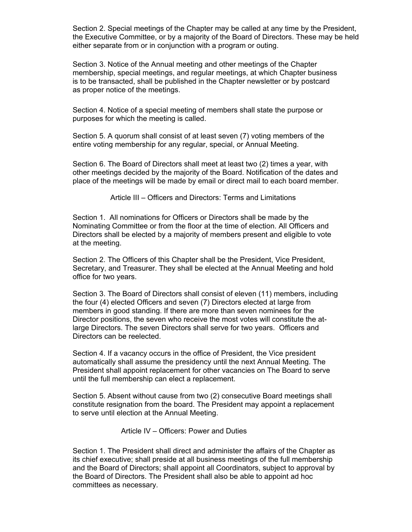Section 2. Special meetings of the Chapter may be called at any time by the President, the Executive Committee, or by a majority of the Board of Directors. These may be held either separate from or in conjunction with a program or outing.

Section 3. Notice of the Annual meeting and other meetings of the Chapter membership, special meetings, and regular meetings, at which Chapter business is to be transacted, shall be published in the Chapter newsletter or by postcard as proper notice of the meetings.

Section 4. Notice of a special meeting of members shall state the purpose or purposes for which the meeting is called.

Section 5. A quorum shall consist of at least seven (7) voting members of the entire voting membership for any regular, special, or Annual Meeting.

Section 6. The Board of Directors shall meet at least two (2) times a year, with other meetings decided by the majority of the Board. Notification of the dates and place of the meetings will be made by email or direct mail to each board member.

Article III – Officers and Directors: Terms and Limitations

Section 1. All nominations for Officers or Directors shall be made by the Nominating Committee or from the floor at the time of election. All Officers and Directors shall be elected by a majority of members present and eligible to vote at the meeting.

Section 2. The Officers of this Chapter shall be the President, Vice President, Secretary, and Treasurer. They shall be elected at the Annual Meeting and hold office for two years.

Section 3. The Board of Directors shall consist of eleven (11) members, including the four (4) elected Officers and seven (7) Directors elected at large from members in good standing. If there are more than seven nominees for the Director positions, the seven who receive the most votes will constitute the atlarge Directors. The seven Directors shall serve for two years. Officers and Directors can be reelected.

Section 4. If a vacancy occurs in the office of President, the Vice president automatically shall assume the presidency until the next Annual Meeting. The President shall appoint replacement for other vacancies on The Board to serve until the full membership can elect a replacement.

Section 5. Absent without cause from two (2) consecutive Board meetings shall constitute resignation from the board. The President may appoint a replacement to serve until election at the Annual Meeting.

Article IV – Officers: Power and Duties

Section 1. The President shall direct and administer the affairs of the Chapter as its chief executive; shall preside at all business meetings of the full membership and the Board of Directors; shall appoint all Coordinators, subject to approval by the Board of Directors. The President shall also be able to appoint ad hoc committees as necessary.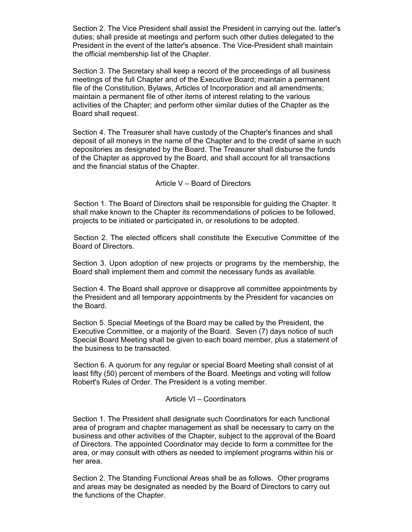Section 2. The Vice President shall assist the President in carrying out the. latter's duties; shall preside at meetings and perform such other duties delegated to the President in the event of the latter's absence. The Vice-President shall maintain the official membership list of the Chapter.

Section 3. The Secretary shall keep a record of the proceedings of all business meetings of the full Chapter and of the Executive Board; maintain a permanent file of the Constitution, Bylaws, Articles of Incorporation and all amendments; maintain a permanent file of other items of interest relating to the various activities of the Chapter; and perform other similar duties of the Chapter as the Board shall request.

Section 4. The Treasurer shall have custody of the Chapter's finances and shall deposit of all moneys in the name of the Chapter and to the credit of same in such depositories as designated by the Board. The Treasurer shall disburse the funds of the Chapter as approved by the Board, and shall account for all transactions and the financial status of the Chapter.

Article V – Board of Directors

Section 1. The Board of Directors shall be responsible for guiding the Chapter. It shall make known to the Chapter its recommendations of policies to be followed, projects to be initiated or participated in, or resolutions to be adopted.

Section 2. The elected officers shall constitute the Executive Committee of the Board of Directors.

Section 3. Upon adoption of new projects or programs by the membership, the Board shall implement them and commit the necessary funds as available.

Section 4. The Board shall approve or disapprove all committee appointments by the President and all temporary appointments by the President for vacancies on the Board.

Section 5. Special Meetings of the Board may be called by the President, the Executive Committee, or a majority of the Board. Seven (7) days notice of such Special Board Meeting shall be given to each board member, plus a statement of the business to be transacted.

Section 6. A quorum for any regular or special Board Meeting shall consist of at least fifty (50) percent of members of the Board. Meetings and voting will follow Robert's Rules of Order. The President is a voting member.

#### Article VI – Coordinators

Section 1. The President shall designate such Coordinators for each functional area of program and chapter management as shall be necessary to carry on the business and other activities of the Chapter, subject to the approval of the Board of Directors. The appointed Coordinator may decide to form a committee for the area, or may consult with others as needed to implement programs within his or her area.

Section 2. The Standing Functional Areas shall be as follows. Other programs and areas may be designated as needed by the Board of Directors to carry out the functions of the Chapter.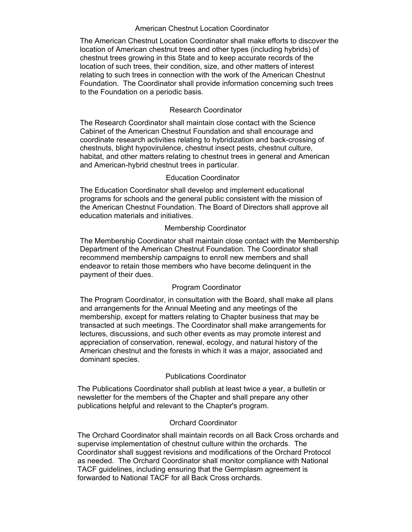#### American Chestnut Location Coordinator

The American Chestnut Location Coordinator shall make efforts to discover the location of American chestnut trees and other types (including hybrids) of chestnut trees growing in this State and to keep accurate records of the location of such trees, their condition, size, and other matters of interest relating to such trees in connection with the work of the American Chestnut Foundation. The Coordinator shall provide information concerning such trees to the Foundation on a periodic basis.

# Research Coordinator

The Research Coordinator shall maintain close contact with the Science Cabinet of the American Chestnut Foundation and shall encourage and coordinate research activities relating to hybridization and back-crossing of chestnuts, blight hypovirulence, chestnut insect pests, chestnut culture, habitat, and other matters relating to chestnut trees in general and American and American-hybrid chestnut trees in particular.

### Education Coordinator

The Education Coordinator shall develop and implement educational programs for schools and the general public consistent with the mission of the American Chestnut Foundation. The Board of Directors shall approve all education materials and initiatives.

### Membership Coordinator

The Membership Coordinator shall maintain close contact with the Membership Department of the American Chestnut Foundation. The Coordinator shall recommend membership campaigns to enroll new members and shall endeavor to retain those members who have become delinquent in the payment of their dues.

#### Program Coordinator

The Program Coordinator, in consultation with the Board, shall make all plans and arrangements for the Annual Meeting and any meetings of the membership, except for matters relating to Chapter business that may be transacted at such meetings. The Coordinator shall make arrangements for lectures, discussions, and such other events as may promote interest and appreciation of conservation, renewal, ecology, and natural history of the American chestnut and the forests in which it was a major, associated and dominant species.

### Publications Coordinator

The Publications Coordinator shall publish at least twice a year, a bulletin or newsletter for the members of the Chapter and shall prepare any other publications helpful and relevant to the Chapter's program.

### Orchard Coordinator

The Orchard Coordinator shall maintain records on all Back Cross orchards and supervise implementation of chestnut culture within the orchards. The Coordinator shall suggest revisions and modifications of the Orchard Protocol as needed. The Orchard Coordinator shall monitor compliance with National TACF guidelines, including ensuring that the Germplasm agreement is forwarded to National TACF for all Back Cross orchards.